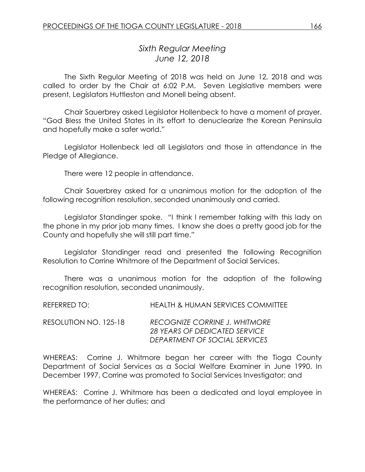# *Sixth Regular Meeting June 12, 2018*

The Sixth Regular Meeting of 2018 was held on June 12, 2018 and was called to order by the Chair at 6:02 P.M. Seven Legislative members were present, Legislators Huttleston and Monell being absent.

Chair Sauerbrey asked Legislator Hollenbeck to have a moment of prayer. "God Bless the United States in its effort to denuclearize the Korean Peninsula and hopefully make a safer world."

Legislator Hollenbeck led all Legislators and those in attendance in the Pledge of Allegiance.

There were 12 people in attendance.

Chair Sauerbrey asked for a unanimous motion for the adoption of the following recognition resolution, seconded unanimously and carried.

Legislator Standinger spoke. "I think I remember talking with this lady on the phone in my prior job many times. I know she does a pretty good job for the County and hopefully she will still part time."

Legislator Standinger read and presented the following Recognition Resolution to Corrine Whitmore of the Department of Social Services.

There was a unanimous motion for the adoption of the following recognition resolution, seconded unanimously.

| REFERRED TO:          | <b>HEALTH &amp; HUMAN SERVICES COMMITTEE</b>                                                           |
|-----------------------|--------------------------------------------------------------------------------------------------------|
| RESOLUTION NO. 125-18 | <b>RECOGNIZE CORRINE J. WHITMORE</b><br>28 YEARS OF DEDICATED SERVICE<br>DEPARTMENT OF SOCIAL SERVICES |

WHEREAS: Corrine J. Whitmore began her career with the Tioga County Department of Social Services as a Social Welfare Examiner in June 1990. In December 1997, Corrine was promoted to Social Services Investigator; and

WHEREAS: Corrine J. Whitmore has been a dedicated and loyal employee in the performance of her duties; and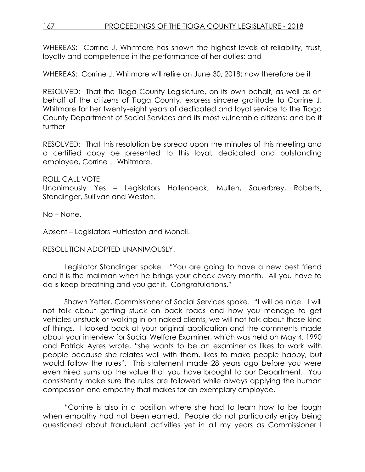## 167 PROCEEDINGS OF THE TIOGA COUNTY LEGISLATURE - 2018

WHEREAS: Corrine J. Whitmore has shown the highest levels of reliability, trust, loyalty and competence in the performance of her duties; and

WHEREAS: Corrine J. Whitmore will retire on June 30, 2018; now therefore be it

RESOLVED:That the Tioga County Legislature, on its own behalf, as well as on behalf of the citizens of Tioga County, express sincere gratitude to Corrine J. Whitmore for her twenty-eight years of dedicated and loyal service to the Tioga County Department of Social Services and its most vulnerable citizens; and be it further

RESOLVED: That this resolution be spread upon the minutes of this meeting and a certified copy be presented to this loyal, dedicated and outstanding employee, Corrine J. Whitmore.

ROLL CALL VOTE

Unanimously Yes – Legislators Hollenbeck, Mullen, Sauerbrey, Roberts, Standinger, Sullivan and Weston.

No – None.

Absent – Legislators Huttleston and Monell.

RESOLUTION ADOPTED UNANIMOUSLY.

Legislator Standinger spoke. "You are going to have a new best friend and it is the mailman when he brings your check every month. All you have to do is keep breathing and you get it. Congratulations."

Shawn Yetter, Commissioner of Social Services spoke. "I will be nice. I will not talk about getting stuck on back roads and how you manage to get vehicles unstuck or walking in on naked clients, we will not talk about those kind of things. I looked back at your original application and the comments made about your interview for Social Welfare Examiner, which was held on May 4, 1990 and Patrick Ayres wrote, "she wants to be an examiner as likes to work with people because she relates well with them, likes to make people happy, but would follow the rules". This statement made 28 years ago before you were even hired sums up the value that you have brought to our Department. You consistently make sure the rules are followed while always applying the human compassion and empathy that makes for an exemplary employee.

"Corrine is also in a position where she had to learn how to be tough when empathy had not been earned. People do not particularly enjoy being questioned about fraudulent activities yet in all my years as Commissioner I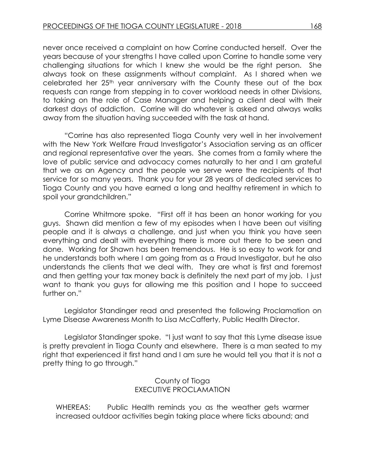never once received a complaint on how Corrine conducted herself. Over the years because of your strengths I have called upon Corrine to handle some very challenging situations for which I knew she would be the right person. She always took on these assignments without complaint. As I shared when we celebrated her 25th year anniversary with the County these out of the box requests can range from stepping in to cover workload needs in other Divisions, to taking on the role of Case Manager and helping a client deal with their darkest days of addiction. Corrine will do whatever is asked and always walks away from the situation having succeeded with the task at hand.

"Corrine has also represented Tioga County very well in her involvement with the New York Welfare Fraud Investigator's Association serving as an officer and regional representative over the years. She comes from a family where the love of public service and advocacy comes naturally to her and I am grateful that we as an Agency and the people we serve were the recipients of that service for so many years. Thank you for your 28 years of dedicated services to Tioga County and you have earned a long and healthy retirement in which to spoil your grandchildren."

Corrine Whitmore spoke. "First off it has been an honor working for you guys. Shawn did mention a few of my episodes when I have been out visiting people and it is always a challenge, and just when you think you have seen everything and dealt with everything there is more out there to be seen and done. Working for Shawn has been tremendous. He is so easy to work for and he understands both where I am going from as a Fraud Investigator, but he also understands the clients that we deal with. They are what is first and foremost and then getting your tax money back is definitely the next part of my job. I just want to thank you guys for allowing me this position and I hope to succeed further on."

Legislator Standinger read and presented the following Proclamation on Lyme Disease Awareness Month to Lisa McCafferty, Public Health Director.

Legislator Standinger spoke. "I just want to say that this Lyme disease issue is pretty prevalent in Tioga County and elsewhere. There is a man seated to my right that experienced it first hand and I am sure he would tell you that it is not a pretty thing to go through."

> County of Tioga EXECUTIVE PROCLAMATION

WHEREAS: Public Health reminds you as the weather gets warmer increased outdoor activities begin taking place where ticks abound; and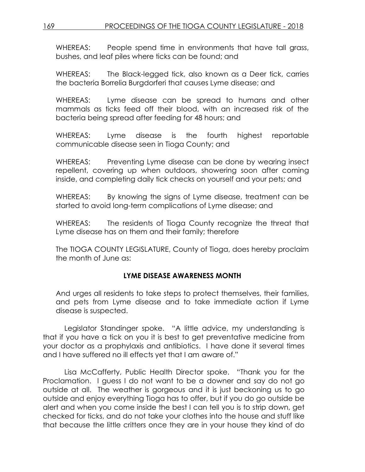WHEREAS: People spend time in environments that have tall grass, bushes, and leaf piles where ticks can be found; and

WHEREAS: The Black-legged tick, also known as a Deer tick, carries the bacteria Borrelia Burgdorferi that causes Lyme disease; and

WHEREAS: Lyme disease can be spread to humans and other mammals as ticks feed off their blood, with an increased risk of the bacteria being spread after feeding for 48 hours; and

WHEREAS: Lyme disease is the fourth highest reportable communicable disease seen in Tioga County; and

WHEREAS: Preventing Lyme disease can be done by wearing insect repellent, covering up when outdoors, showering soon after coming inside, and completing daily tick checks on yourself and your pets; and

WHEREAS: By knowing the signs of Lyme disease, treatment can be started to avoid long-term complications of Lyme disease; and

WHEREAS: The residents of Tioga County recognize the threat that Lyme disease has on them and their family; therefore

The TIOGA COUNTY LEGISLATURE, County of Tioga, does hereby proclaim the month of June as:

## **LYME DISEASE AWARENESS MONTH**

And urges all residents to take steps to protect themselves, their families, and pets from Lyme disease and to take immediate action if Lyme disease is suspected.

Legislator Standinger spoke. "A little advice, my understanding is that if you have a tick on you it is best to get preventative medicine from your doctor as a prophylaxis and antibiotics. I have done it several times and I have suffered no ill effects yet that I am aware of."

Lisa McCafferty, Public Health Director spoke. "Thank you for the Proclamation. I guess I do not want to be a downer and say do not go outside at all. The weather is gorgeous and it is just beckoning us to go outside and enjoy everything Tioga has to offer, but if you do go outside be alert and when you come inside the best I can tell you is to strip down, get checked for ticks, and do not take your clothes into the house and stuff like that because the little critters once they are in your house they kind of do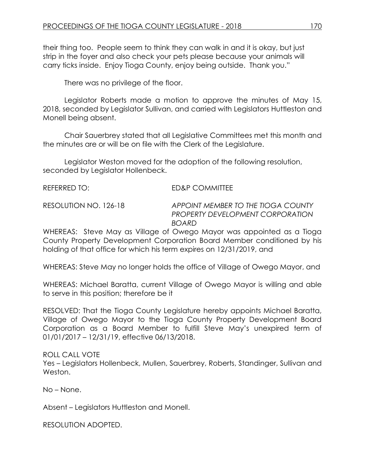their thing too. People seem to think they can walk in and it is okay, but just strip in the foyer and also check your pets please because your animals will carry ticks inside. Enjoy Tioga County, enjoy being outside. Thank you."

There was no privilege of the floor.

Legislator Roberts made a motion to approve the minutes of May 15, 2018, seconded by Legislator Sullivan, and carried with Legislators Huttleston and Monell being absent.

Chair Sauerbrey stated that all Legislative Committees met this month and the minutes are or will be on file with the Clerk of the Legislature.

Legislator Weston moved for the adoption of the following resolution, seconded by Legislator Hollenbeck.

| REFERRED TO:          | ED&P COMMITTEE                  |
|-----------------------|---------------------------------|
| RESOLUTION NO. 126-18 | <b>APPOINT MEMBER TO THE TI</b> |

RESOLUTION NO. 126-18 *APPOINT MEMBER TO THE TIOGA COUNTY PROPERTY DEVELOPMENT CORPORATION BOARD*

WHEREAS: Steve May as Village of Owego Mayor was appointed as a Tioga County Property Development Corporation Board Member conditioned by his holding of that office for which his term expires on 12/31/2019, and

WHEREAS: Steve May no longer holds the office of Village of Owego Mayor, and

WHEREAS: Michael Baratta, current Village of Owego Mayor is willing and able to serve in this position; therefore be it

RESOLVED: That the Tioga County Legislature hereby appoints Michael Baratta, Village of Owego Mayor to the Tioga County Property Development Board Corporation as a Board Member to fulfill Steve May's unexpired term of 01/01/2017 – 12/31/19, effective 06/13/2018.

ROLL CALL VOTE

Yes – Legislators Hollenbeck, Mullen, Sauerbrey, Roberts, Standinger, Sullivan and Weston.

No – None.

Absent – Legislators Huttleston and Monell.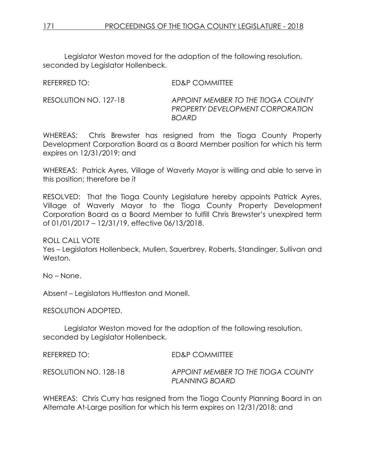Legislator Weston moved for the adoption of the following resolution, seconded by Legislator Hollenbeck.

REFERRED TO: ED&P COMMITTEE

RESOLUTION NO. 127-18 *APPOINT MEMBER TO THE TIOGA COUNTY PROPERTY DEVELOPMENT CORPORATION BOARD*

WHEREAS: Chris Brewster has resigned from the Tioga County Property Development Corporation Board as a Board Member position for which his term expires on 12/31/2019; and

WHEREAS: Patrick Ayres, Village of Waverly Mayor is willing and able to serve in this position; therefore be it

RESOLVED: That the Tioga County Legislature hereby appoints Patrick Ayres, Village of Waverly Mayor to the Tioga County Property Development Corporation Board as a Board Member to fulfill Chris Brewster's unexpired term of 01/01/2017 – 12/31/19, effective 06/13/2018.

ROLL CALL VOTE

Yes – Legislators Hollenbeck, Mullen, Sauerbrey, Roberts, Standinger, Sullivan and Weston.

No – None.

Absent – Legislators Huttleston and Monell.

RESOLUTION ADOPTED.

Legislator Weston moved for the adoption of the following resolution, seconded by Legislator Hollenbeck.

REFERRED TO: ED&P COMMITTEE

RESOLUTION NO. 128-18 *APPOINT MEMBER TO THE TIOGA COUNTY PLANNING BOARD*

WHEREAS: Chris Curry has resigned from the Tioga County Planning Board in an Alternate At-Large position for which his term expires on 12/31/2018; and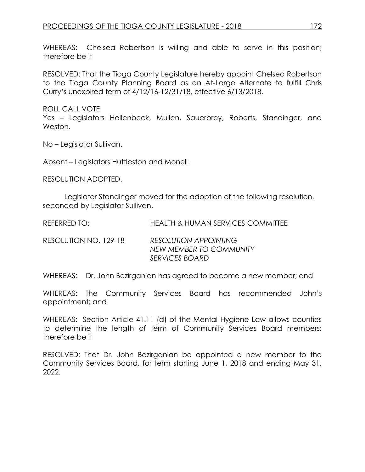WHEREAS: Chelsea Robertson is willing and able to serve in this position; therefore be it

RESOLVED: That the Tioga County Legislature hereby appoint Chelsea Robertson to the Tioga County Planning Board as an At-Large Alternate to fulfill Chris Curry's unexpired term of 4/12/16-12/31/18, effective 6/13/2018.

ROLL CALL VOTE

Yes – Legislators Hollenbeck, Mullen, Sauerbrey, Roberts, Standinger, and Weston.

No – Legislator Sullivan.

Absent – Legislators Huttleston and Monell.

RESOLUTION ADOPTED.

Legislator Standinger moved for the adoption of the following resolution, seconded by Legislator Sullivan.

REFERRED TO: HEALTH & HUMAN SERVICES COMMITTEE

RESOLUTION NO. 129-18 *RESOLUTION APPOINTING NEW MEMBER TO COMMUNITY SERVICES BOARD*

WHEREAS: Dr. John Bezirganian has agreed to become a new member; and

WHEREAS: The Community Services Board has recommended John's appointment; and

WHEREAS: Section Article 41.11 (d) of the Mental Hygiene Law allows counties to determine the length of term of Community Services Board members; therefore be it

RESOLVED: That Dr. John Bezirganian be appointed a new member to the Community Services Board, for term starting June 1, 2018 and ending May 31, 2022.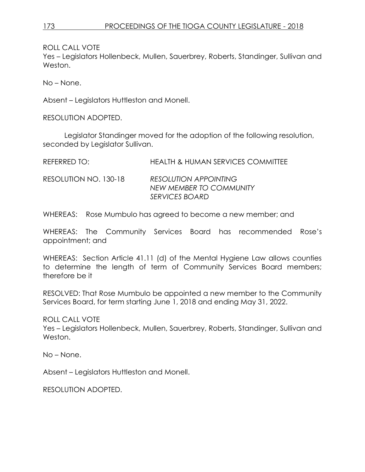Yes – Legislators Hollenbeck, Mullen, Sauerbrey, Roberts, Standinger, Sullivan and Weston.

No – None.

Absent – Legislators Huttleston and Monell.

RESOLUTION ADOPTED.

Legislator Standinger moved for the adoption of the following resolution, seconded by Legislator Sullivan.

REFERRED TO: HEALTH & HUMAN SERVICES COMMITTEE

RESOLUTION NO. 130-18 *RESOLUTION APPOINTING NEW MEMBER TO COMMUNITY SERVICES BOARD*

WHEREAS: Rose Mumbulo has agreed to become a new member; and

WHEREAS: The Community Services Board has recommended Rose's appointment; and

WHEREAS: Section Article 41.11 (d) of the Mental Hygiene Law allows counties to determine the length of term of Community Services Board members; therefore be it

RESOLVED: That Rose Mumbulo be appointed a new member to the Community Services Board, for term starting June 1, 2018 and ending May 31, 2022.

ROLL CALL VOTE

Yes – Legislators Hollenbeck, Mullen, Sauerbrey, Roberts, Standinger, Sullivan and Weston.

No – None.

Absent – Legislators Huttleston and Monell.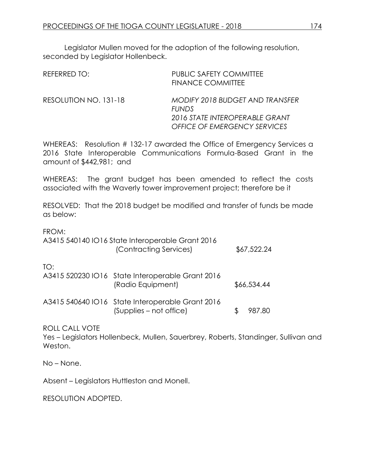Legislator Mullen moved for the adoption of the following resolution, seconded by Legislator Hollenbeck.

| REFERRED TO:          | <b>PUBLIC SAFETY COMMITTEE</b><br><b>FINANCE COMMITTEE</b>                                                               |
|-----------------------|--------------------------------------------------------------------------------------------------------------------------|
| RESOLUTION NO. 131-18 | MODIFY 2018 BUDGET AND TRANSFER<br><b>FUNDS</b><br>2016 STATE INTEROPERABLE GRANT<br><b>OFFICE OF EMERGENCY SERVICES</b> |

WHEREAS: Resolution # 132-17 awarded the Office of Emergency Services a 2016 State Interoperable Communications Formula-Based Grant in the amount of \$442,981; and

WHEREAS: The grant budget has been amended to reflect the costs associated with the Waverly tower improvement project; therefore be it

RESOLVED: That the 2018 budget be modified and transfer of funds be made as below:

FROM:

|     | A3415 540140 IO16 State Interoperable Grant 2016<br>(Contracting Services)  | \$67,522.24 |
|-----|-----------------------------------------------------------------------------|-------------|
| TO: | A3415 520230 IO16 State Interoperable Grant 2016<br>(Radio Equipment)       | \$66,534.44 |
|     | A3415 540640 IO16 State Interoperable Grant 2016<br>(Supplies – not office) | 987.80      |

ROLL CALL VOTE

Yes – Legislators Hollenbeck, Mullen, Sauerbrey, Roberts, Standinger, Sullivan and Weston.

No – None.

Absent – Legislators Huttleston and Monell.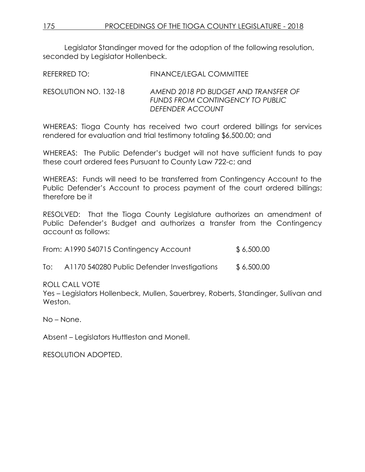Legislator Standinger moved for the adoption of the following resolution, seconded by Legislator Hollenbeck.

REFERRED TO: FINANCE/LEGAL COMMITTEE

RESOLUTION NO. 132-18 *AMEND 2018 PD BUDGET AND TRANSFER OF FUNDS FROM CONTINGENCY TO PUBLIC DEFENDER ACCOUNT* 

WHEREAS: Tioga County has received two court ordered billings for services rendered for evaluation and trial testimony totaling \$6,500.00; and

WHEREAS: The Public Defender's budget will not have sufficient funds to pay these court ordered fees Pursuant to County Law 722-c; and

WHEREAS: Funds will need to be transferred from Contingency Account to the Public Defender's Account to process payment of the court ordered billings; therefore be it

RESOLVED: That the Tioga County Legislature authorizes an amendment of Public Defender's Budget and authorizes a transfer from the Contingency account as follows:

From: A1990 540715 Contingency Account \$ 6,500.00

To: A1170 540280 Public Defender Investigations \$ 6,500.00

ROLL CALL VOTE

Yes – Legislators Hollenbeck, Mullen, Sauerbrey, Roberts, Standinger, Sullivan and Weston.

No – None.

Absent – Legislators Huttleston and Monell.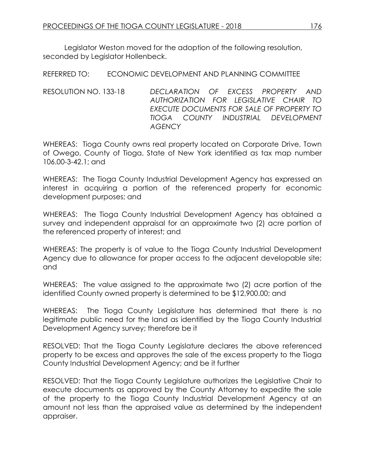Legislator Weston moved for the adoption of the following resolution, seconded by Legislator Hollenbeck.

REFERRED TO: ECONOMIC DEVELOPMENT AND PLANNING COMMITTEE

RESOLUTION NO. 133-18 *DECLARATION OF EXCESS PROPERTY AND AUTHORIZATION FOR LEGISLATIVE CHAIR TO EXECUTE DOCUMENTS FOR SALE OF PROPERTY TO TIOGA COUNTY INDUSTRIAL DEVELOPMENT AGENCY*

WHEREAS: Tioga County owns real property located on Corporate Drive, Town of Owego, County of Tioga, State of New York identified as tax map number 106.00-3-42.1; and

WHEREAS: The Tioga County Industrial Development Agency has expressed an interest in acquiring a portion of the referenced property for economic development purposes; and

WHEREAS: The Tioga County Industrial Development Agency has obtained a survey and independent appraisal for an approximate two (2) acre portion of the referenced property of interest; and

WHEREAS: The property is of value to the Tioga County Industrial Development Agency due to allowance for proper access to the adjacent developable site; and

WHEREAS: The value assigned to the approximate two (2) acre portion of the identified County owned property is determined to be \$12,900.00; and

WHEREAS: The Tioga County Legislature has determined that there is no legitimate public need for the land as identified by the Tioga County Industrial Development Agency survey; therefore be it

RESOLVED: That the Tioga County Legislature declares the above referenced property to be excess and approves the sale of the excess property to the Tioga County Industrial Development Agency; and be it further

RESOLVED: That the Tioga County Legislature authorizes the Legislative Chair to execute documents as approved by the County Attorney to expedite the sale of the property to the Tioga County Industrial Development Agency at an amount not less than the appraised value as determined by the independent appraiser.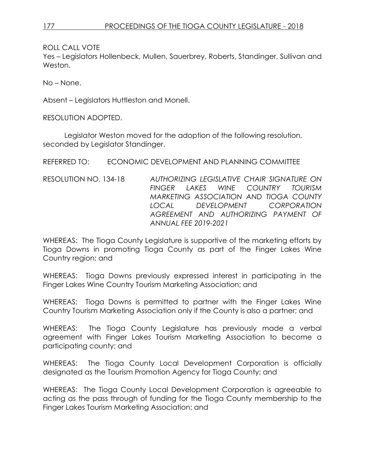Yes – Legislators Hollenbeck, Mullen, Sauerbrey, Roberts, Standinger, Sullivan and Weston.

No – None.

Absent – Legislators Huttleston and Monell.

RESOLUTION ADOPTED.

Legislator Weston moved for the adoption of the following resolution, seconded by Legislator Standinger.

REFERRED TO: ECONOMIC DEVELOPMENT AND PLANNING COMMITTEE

RESOLUTION NO. 134-18 *AUTHORIZING LEGISLATIVE CHAIR SIGNATURE ON FINGER LAKES WINE COUNTRY TOURISM MARKETING ASSOCIATION AND TIOGA COUNTY LOCAL DEVELOPMENT CORPORATION AGREEMENT AND AUTHORIZING PAYMENT OF ANNUAL FEE 2019-2021*

WHEREAS: The Tioga County Legislature is supportive of the marketing efforts by Tioga Downs in promoting Tioga County as part of the Finger Lakes Wine Country region; and

WHEREAS: Tioga Downs previously expressed interest in participating in the Finger Lakes Wine Country Tourism Marketing Association; and

WHEREAS: Tioga Downs is permitted to partner with the Finger Lakes Wine Country Tourism Marketing Association only if the County is also a partner; and

WHEREAS: The Tioga County Legislature has previously made a verbal agreement with Finger Lakes Tourism Marketing Association to become a participating county; and

WHEREAS: The Tioga County Local Development Corporation is officially designated as the Tourism Promotion Agency for Tioga County; and

WHEREAS: The Tioga County Local Development Corporation is agreeable to acting as the pass through of funding for the Tioga County membership to the Finger Lakes Tourism Marketing Association; and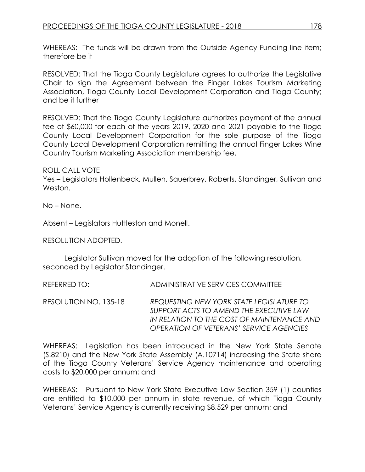WHEREAS: The funds will be drawn from the Outside Agency Funding line item; therefore be it

RESOLVED: That the Tioga County Legislature agrees to authorize the Legislative Chair to sign the Agreement between the Finger Lakes Tourism Marketing Association, Tioga County Local Development Corporation and Tioga County; and be it further

RESOLVED: That the Tioga County Legislature authorizes payment of the annual fee of \$60,000 for each of the years 2019, 2020 and 2021 payable to the Tioga County Local Development Corporation for the sole purpose of the Tioga County Local Development Corporation remitting the annual Finger Lakes Wine Country Tourism Marketing Association membership fee.

ROLL CALL VOTE

Yes – Legislators Hollenbeck, Mullen, Sauerbrey, Roberts, Standinger, Sullivan and Weston.

No – None.

Absent – Legislators Huttleston and Monell.

RESOLUTION ADOPTED.

Legislator Sullivan moved for the adoption of the following resolution, seconded by Legislator Standinger.

REFERRED TO: ADMINISTRATIVE SERVICES COMMITTEE

RESOLUTION NO. 135-18 *REQUESTING NEW YORK STATE LEGISLATURE TO SUPPORT ACTS TO AMEND THE EXECUTIVE LAW IN RELATION TO THE COST OF MAINTENANCE AND OPERATION OF VETERANS' SERVICE AGENCIES* 

WHEREAS: Legislation has been introduced in the New York State Senate (S.8210) and the New York State Assembly (A.10714) increasing the State share of the Tioga County Veterans' Service Agency maintenance and operating costs to \$20,000 per annum; and

WHEREAS: Pursuant to New York State Executive Law Section 359 (1) counties are entitled to \$10,000 per annum in state revenue, of which Tioga County Veterans' Service Agency is currently receiving \$8,529 per annum; and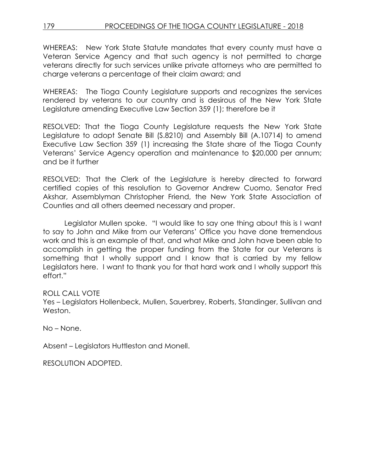WHEREAS: New York State Statute mandates that every county must have a Veteran Service Agency and that such agency is not permitted to charge veterans directly for such services unlike private attorneys who are permitted to charge veterans a percentage of their claim award; and

WHEREAS: The Tioga County Legislature supports and recognizes the services rendered by veterans to our country and is desirous of the New York State Legislature amending Executive Law Section 359 (1); therefore be it

RESOLVED: That the Tioga County Legislature requests the New York State Legislature to adopt Senate Bill (S.8210) and Assembly Bill (A.10714) to amend Executive Law Section 359 (1) increasing the State share of the Tioga County Veterans' Service Agency operation and maintenance to \$20,000 per annum; and be it further

RESOLVED: That the Clerk of the Legislature is hereby directed to forward certified copies of this resolution to Governor Andrew Cuomo, Senator Fred Akshar, Assemblyman Christopher Friend, the New York State Association of Counties and all others deemed necessary and proper.

Legislator Mullen spoke. "I would like to say one thing about this is I want to say to John and Mike from our Veterans' Office you have done tremendous work and this is an example of that, and what Mike and John have been able to accomplish in getting the proper funding from the State for our Veterans is something that I wholly support and I know that is carried by my fellow Legislators here. I want to thank you for that hard work and I wholly support this effort."

ROLL CALL VOTE

Yes – Leaislators Hollenbeck, Mullen, Sauerbrey, Roberts, Standinger, Sullivan and Weston.

No – None.

Absent – Legislators Huttleston and Monell.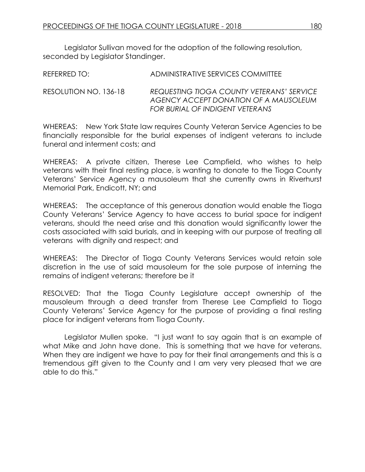Legislator Sullivan moved for the adoption of the following resolution, seconded by Legislator Standinger.

| REFERRED TO:          | ADMINISTRATIVE SERVICES COMMITTEE                                                         |
|-----------------------|-------------------------------------------------------------------------------------------|
| RESOLUTION NO. 136-18 | <b>REQUESTING TIOGA COUNTY VETERANS' SERVICE</b><br>AGENCY ACCEPT DONATION OF A MAUSOLEUM |

WHEREAS: New York State law requires County Veteran Service Agencies to be financially responsible for the burial expenses of indigent veterans to include funeral and interment costs; and

*FOR BURIAL OF INDIGENT VETERANS* 

WHEREAS: A private citizen, Therese Lee Campfield, who wishes to help veterans with their final resting place, is wanting to donate to the Tioga County Veterans' Service Agency a mausoleum that she currently owns in Riverhurst Memorial Park, Endicott, NY; and

WHEREAS: The acceptance of this generous donation would enable the Tioga County Veterans' Service Agency to have access to burial space for indigent veterans, should the need arise and this donation would significantly lower the costs associated with said burials, and in keeping with our purpose of treating all veterans with dignity and respect; and

WHEREAS: The Director of Tioga County Veterans Services would retain sole discretion in the use of said mausoleum for the sole purpose of interning the remains of indigent veterans; therefore be it

RESOLVED: That the Tioga County Legislature accept ownership of the mausoleum through a deed transfer from Therese Lee Campfield to Tioga County Veterans' Service Agency for the purpose of providing a final resting place for indigent veterans from Tioga County.

Legislator Mullen spoke. "I just want to say again that is an example of what Mike and John have done. This is something that we have for veterans. When they are indigent we have to pay for their final arrangements and this is a tremendous gift given to the County and I am very very pleased that we are able to do this."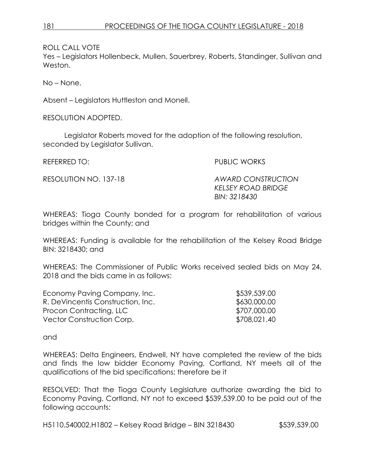Yes – Legislators Hollenbeck, Mullen, Sauerbrey, Roberts, Standinger, Sullivan and Weston.

No – None.

Absent – Legislators Huttleston and Monell.

RESOLUTION ADOPTED.

Legislator Roberts moved for the adoption of the following resolution, seconded by Legislator Sullivan.

REFERRED TO: PUBLIC WORKS

RESOLUTION NO. 137-18 *AWARD CONSTRUCTION KELSEY ROAD BRIDGE BIN: 3218430* 

WHEREAS: Tioga County bonded for a program for rehabilitation of various bridges within the County; and

WHEREAS: Funding is available for the rehabilitation of the Kelsey Road Bridge BIN: 3218430; and

WHEREAS: The Commissioner of Public Works received sealed bids on May 24, 2018 and the bids came in as follows:

| \$539,539.00 |
|--------------|
| \$630,000.00 |
| \$707,000.00 |
| \$708,021.40 |
|              |

and

WHEREAS: Delta Engineers, Endwell, NY have completed the review of the bids and finds the low bidder Economy Paving, Cortland, NY meets all of the qualifications of the bid specifications; therefore be it

RESOLVED: That the Tioga County Legislature authorize awarding the bid to Economy Paving, Cortland, NY not to exceed \$539,539.00 to be paid out of the following accounts:

H5110.540002.H1802 – Kelsey Road Bridge – BIN 3218430 \$539,539.00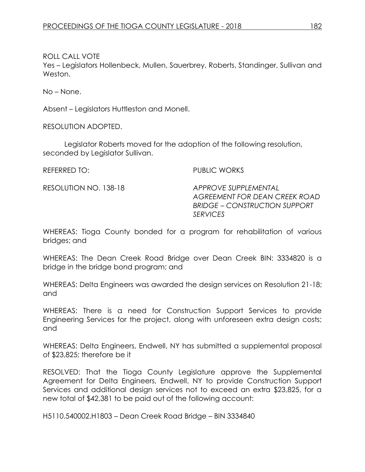Yes – Legislators Hollenbeck, Mullen, Sauerbrey, Roberts, Standinger, Sullivan and Weston.

No – None.

Absent – Legislators Huttleston and Monell.

RESOLUTION ADOPTED.

Legislator Roberts moved for the adoption of the following resolution, seconded by Legislator Sullivan.

REFERRED TO: PUBLIC WORKS

RESOLUTION NO. 138-18 *APPROVE SUPPLEMENTAL AGREEMENT FOR DEAN CREEK ROAD BRIDGE – CONSTRUCTION SUPPORT SERVICES* 

WHEREAS: Tioga County bonded for a program for rehabilitation of various bridges; and

WHEREAS: The Dean Creek Road Bridge over Dean Creek BIN: 3334820 is a bridge in the bridge bond program; and

WHEREAS: Delta Engineers was awarded the design services on Resolution 21-18; and

WHEREAS: There is a need for Construction Support Services to provide Engineering Services for the project, along with unforeseen extra design costs; and

WHEREAS: Delta Engineers, Endwell, NY has submitted a supplemental proposal of \$23,825; therefore be it

RESOLVED: That the Tioga County Legislature approve the Supplemental Agreement for Delta Engineers, Endwell, NY to provide Construction Support Services and additional design services not to exceed an extra \$23,825, for a new total of \$42,381 to be paid out of the following account:

H5110.540002.H1803 – Dean Creek Road Bridge – BIN 3334840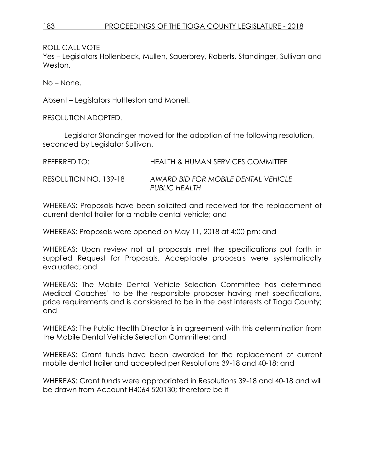Yes – Legislators Hollenbeck, Mullen, Sauerbrey, Roberts, Standinger, Sullivan and Weston.

No – None.

Absent – Legislators Huttleston and Monell.

RESOLUTION ADOPTED.

Legislator Standinger moved for the adoption of the following resolution, seconded by Legislator Sullivan.

| REFERRED TO:          | HEALTH & HUMAN SERVICES COMMITTEE                    |
|-----------------------|------------------------------------------------------|
| RESOLUTION NO. 139-18 | AWARD BID FOR MOBILE DENTAL VEHICLE<br>PUBLIC HEALTH |

WHEREAS: Proposals have been solicited and received for the replacement of current dental trailer for a mobile dental vehicle; and

WHEREAS: Proposals were opened on May 11, 2018 at 4:00 pm; and

WHEREAS: Upon review not all proposals met the specifications put forth in supplied Request for Proposals. Acceptable proposals were systematically evaluated; and

WHEREAS: The Mobile Dental Vehicle Selection Committee has determined Medical Coaches' to be the responsible proposer having met specifications, price requirements and is considered to be in the best interests of Tioga County; and

WHEREAS: The Public Health Director is in agreement with this determination from the Mobile Dental Vehicle Selection Committee; and

WHEREAS: Grant funds have been awarded for the replacement of current mobile dental trailer and accepted per Resolutions 39-18 and 40-18; and

WHEREAS: Grant funds were appropriated in Resolutions 39-18 and 40-18 and will be drawn from Account H4064 520130; therefore be it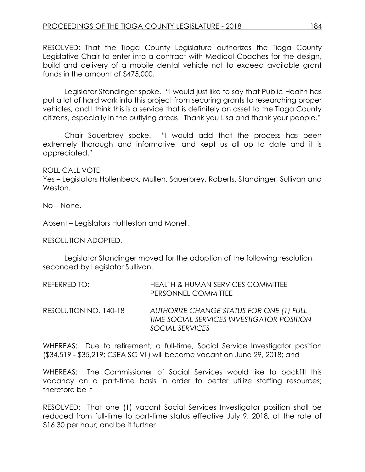RESOLVED: That the Tioga County Legislature authorizes the Tioga County Legislative Chair to enter into a contract with Medical Coaches for the design, build and delivery of a mobile dental vehicle not to exceed available grant funds in the amount of \$475,000.

Legislator Standinger spoke. "I would just like to say that Public Health has put a lot of hard work into this project from securing grants to researching proper vehicles, and I think this is a service that is definitely an asset to the Tioga County citizens, especially in the outlying areas. Thank you Lisa and thank your people."

Chair Sauerbrey spoke. "I would add that the process has been extremely thorough and informative, and kept us all up to date and it is appreciated."

ROLL CALL VOTE

Yes – Legislators Hollenbeck, Mullen, Sauerbrey, Roberts, Standinger, Sullivan and Weston.

No – None.

Absent – Legislators Huttleston and Monell.

RESOLUTION ADOPTED.

Legislator Standinger moved for the adoption of the following resolution, seconded by Legislator Sullivan.

| REFERRED TO:          | <b>HEALTH &amp; HUMAN SERVICES COMMITTEE</b><br>PERSONNEL COMMITTEE                                       |
|-----------------------|-----------------------------------------------------------------------------------------------------------|
| RESOLUTION NO. 140-18 | AUTHORIZE CHANGE STATUS FOR ONE (1) FULL<br>TIME SOCIAL SERVICES INVESTIGATOR POSITION<br>SOCIAL SERVICES |

WHEREAS: Due to retirement, a full-time, Social Service Investigator position (\$34,519 - \$35,219; CSEA SG VII) will become vacant on June 29, 2018; and

WHEREAS: The Commissioner of Social Services would like to backfill this vacancy on a part-time basis in order to better utilize staffing resources; therefore be it

RESOLVED: That one (1) vacant Social Services Investigator position shall be reduced from full-time to part-time status effective July 9, 2018, at the rate of \$16.30 per hour; and be it further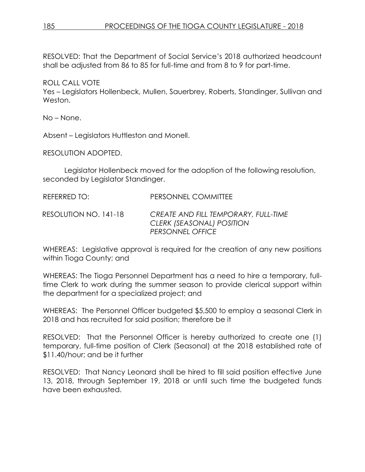RESOLVED: That the Department of Social Service's 2018 authorized headcount shall be adjusted from 86 to 85 for full-time and from 8 to 9 for part-time.

ROLL CALL VOTE Yes – Legislators Hollenbeck, Mullen, Sauerbrey, Roberts, Standinger, Sullivan and

No – None.

Weston.

Absent – Legislators Huttleston and Monell.

RESOLUTION ADOPTED.

Legislator Hollenbeck moved for the adoption of the following resolution, seconded by Legislator Standinger.

REFERRED TO: PERSONNEL COMMITTEE

RESOLUTION NO. 141-18 *CREATE AND FILL TEMPORARY, FULL-TIME CLERK (SEASONAL) POSITION PERSONNEL OFFICE* 

WHEREAS: Legislative approval is required for the creation of any new positions within Tioga County; and

WHEREAS: The Tioga Personnel Department has a need to hire a temporary, fulltime Clerk to work during the summer season to provide clerical support within the department for a specialized project; and

WHEREAS: The Personnel Officer budgeted \$5,500 to employ a seasonal Clerk in 2018 and has recruited for said position; therefore be it

RESOLVED: That the Personnel Officer is hereby authorized to create one (1) temporary, full-time position of Clerk (Seasonal) at the 2018 established rate of \$11.40/hour; and be it further

RESOLVED: That Nancy Leonard shall be hired to fill said position effective June 13, 2018, through September 19, 2018 or until such time the budgeted funds have been exhausted.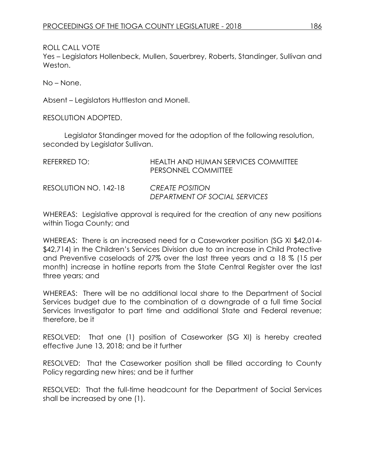Yes – Legislators Hollenbeck, Mullen, Sauerbrey, Roberts, Standinger, Sullivan and Weston.

No – None.

Absent – Legislators Huttleston and Monell.

RESOLUTION ADOPTED.

Legislator Standinger moved for the adoption of the following resolution, seconded by Legislator Sullivan.

| REFERRED TO:          | HEALTH AND HUMAN SERVICES COMMITTEE<br>PERSONNEL COMMITTEE |
|-----------------------|------------------------------------------------------------|
| RESOLUTION NO. 142-18 | <i>CREATE POSITION</i><br>DEPARTMENT OF SOCIAL SERVICES    |

WHEREAS: Legislative approval is required for the creation of any new positions within Tioga County; and

WHEREAS: There is an increased need for a Caseworker position (SG XI \$42,014- \$42,714) in the Children's Services Division due to an increase in Child Protective and Preventive caseloads of 27% over the last three years and a 18 % (15 per month) increase in hotline reports from the State Central Register over the last three years; and

WHEREAS: There will be no additional local share to the Department of Social Services budget due to the combination of a downgrade of a full time Social Services Investigator to part time and additional State and Federal revenue; therefore, be it

RESOLVED: That one (1) position of Caseworker (SG XI) is hereby created effective June 13, 2018; and be it further

RESOLVED: That the Caseworker position shall be filled according to County Policy regarding new hires; and be it further

RESOLVED: That the full-time headcount for the Department of Social Services shall be increased by one (1).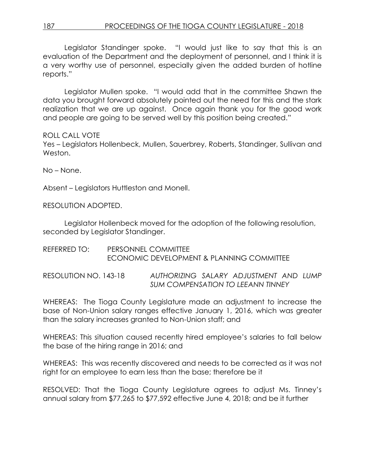Legislator Standinger spoke. "I would just like to say that this is an evaluation of the Department and the deployment of personnel, and I think it is a very worthy use of personnel, especially given the added burden of hotline reports."

Legislator Mullen spoke. "I would add that in the committee Shawn the data you brought forward absolutely pointed out the need for this and the stark realization that we are up against. Once again thank you for the good work and people are going to be served well by this position being created."

### ROLL CALL VOTE

Yes – Legislators Hollenbeck, Mullen, Sauerbrey, Roberts, Standinger, Sullivan and Weston.

No – None.

Absent – Legislators Huttleston and Monell.

RESOLUTION ADOPTED.

Legislator Hollenbeck moved for the adoption of the following resolution, seconded by Legislator Standinger.

REFERRED TO: PERSONNEL COMMITTEE ECONOMIC DEVELOPMENT & PLANNING COMMITTEE

RESOLUTION NO. 143-18 *AUTHORIZING SALARY ADJUSTMENT AND LUMP SUM COMPENSATION TO LEEANN TINNEY*

WHEREAS: The Tioga County Legislature made an adjustment to increase the base of Non-Union salary ranges effective January 1, 2016, which was greater than the salary increases granted to Non-Union staff; and

WHEREAS: This situation caused recently hired employee's salaries to fall below the base of the hiring range in 2016; and

WHEREAS: This was recently discovered and needs to be corrected as it was not right for an employee to earn less than the base; therefore be it

RESOLVED: That the Tioga County Legislature agrees to adjust Ms. Tinney's annual salary from \$77,265 to \$77,592 effective June 4, 2018; and be it further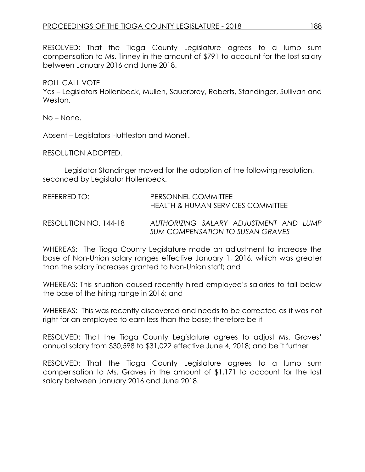RESOLVED: That the Tioga County Legislature agrees to a lump sum compensation to Ms. Tinney in the amount of \$791 to account for the lost salary between January 2016 and June 2018.

### ROLL CALL VOTE

Yes – Legislators Hollenbeck, Mullen, Sauerbrey, Roberts, Standinger, Sullivan and Weston.

No – None.

Absent – Legislators Huttleston and Monell.

RESOLUTION ADOPTED.

Legislator Standinger moved for the adoption of the following resolution, seconded by Legislator Hollenbeck.

| REFERRED TO:          | PERSONNEL COMMITTEE<br>HEALTH & HUMAN SERVICES COMMITTEE                   |
|-----------------------|----------------------------------------------------------------------------|
| RESOLUTION NO. 144-18 | AUTHORIZING SALARY ADJUSTMENT AND LUMP<br>SUM COMPENSATION TO SUSAN GRAVES |

WHEREAS: The Tioga County Legislature made an adjustment to increase the base of Non-Union salary ranges effective January 1, 2016, which was greater than the salary increases granted to Non-Union staff; and

WHEREAS: This situation caused recently hired employee's salaries to fall below the base of the hiring range in 2016; and

WHEREAS: This was recently discovered and needs to be corrected as it was not right for an employee to earn less than the base; therefore be it

RESOLVED: That the Tioga County Legislature agrees to adjust Ms. Graves' annual salary from \$30,598 to \$31,022 effective June 4, 2018; and be it further

RESOLVED: That the Tioga County Legislature agrees to a lump sum compensation to Ms. Graves in the amount of \$1,171 to account for the lost salary between January 2016 and June 2018.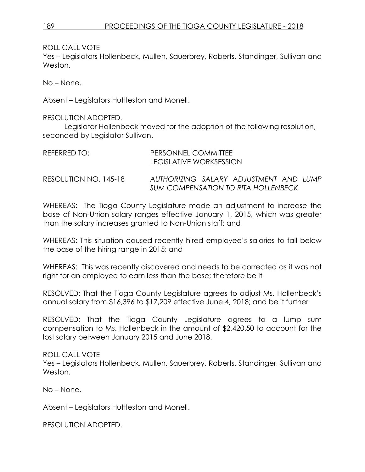Yes – Legislators Hollenbeck, Mullen, Sauerbrey, Roberts, Standinger, Sullivan and Weston.

No – None.

Absent – Legislators Huttleston and Monell.

RESOLUTION ADOPTED.

Legislator Hollenbeck moved for the adoption of the following resolution, seconded by Legislator Sullivan.

| REFERRED TO:          | PERSONNEL COMMITTEE<br><b>LEGISLATIVE WORKSESSION</b>                         |
|-----------------------|-------------------------------------------------------------------------------|
| RESOLUTION NO. 145-18 | AUTHORIZING SALARY ADJUSTMENT AND LUMP<br>SUM COMPENSATION TO RITA HOLLENBECK |

WHEREAS: The Tioga County Legislature made an adjustment to increase the base of Non-Union salary ranges effective January 1, 2015, which was greater than the salary increases granted to Non-Union staff; and

WHEREAS: This situation caused recently hired employee's salaries to fall below the base of the hiring range in 2015; and

WHEREAS: This was recently discovered and needs to be corrected as it was not right for an employee to earn less than the base; therefore be it

RESOLVED: That the Tioga County Legislature agrees to adjust Ms. Hollenbeck's annual salary from \$16,396 to \$17,209 effective June 4, 2018; and be it further

RESOLVED: That the Tioga County Legislature agrees to a lump sum compensation to Ms. Hollenbeck in the amount of \$2,420.50 to account for the lost salary between January 2015 and June 2018.

ROLL CALL VOTE

Yes – Legislators Hollenbeck, Mullen, Sauerbrey, Roberts, Standinger, Sullivan and Weston.

No – None.

Absent – Legislators Huttleston and Monell.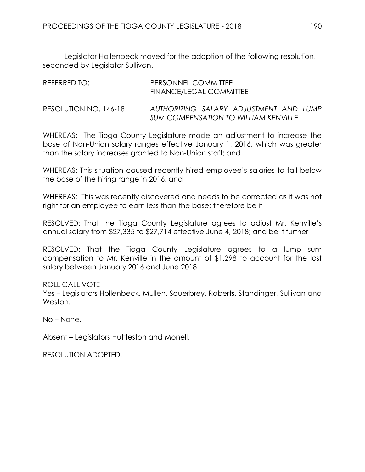Legislator Hollenbeck moved for the adoption of the following resolution, seconded by Legislator Sullivan.

| REFERRED TO:          | PERSONNEL COMMITTEE<br>FINANCE/LEGAL COMMITTEE                                        |
|-----------------------|---------------------------------------------------------------------------------------|
| RESOLUTION NO. 146-18 | AUTHORIZING SALARY ADJUSTMENT AND LUMP<br><b>SUM COMPENSATION TO WILLIAM KENVILLE</b> |

WHEREAS: The Tioga County Legislature made an adjustment to increase the base of Non-Union salary ranges effective January 1, 2016, which was greater than the salary increases granted to Non-Union staff; and

WHEREAS: This situation caused recently hired employee's salaries to fall below the base of the hiring range in 2016; and

WHEREAS: This was recently discovered and needs to be corrected as it was not right for an employee to earn less than the base; therefore be it

RESOLVED: That the Tioga County Legislature agrees to adjust Mr. Kenville's annual salary from \$27,335 to \$27,714 effective June 4, 2018; and be it further

RESOLVED: That the Tioga County Legislature agrees to a lump sum compensation to Mr. Kenville in the amount of \$1,298 to account for the lost salary between January 2016 and June 2018.

ROLL CALL VOTE Yes – Legislators Hollenbeck, Mullen, Sauerbrey, Roberts, Standinger, Sullivan and Weston.

No – None.

Absent – Legislators Huttleston and Monell.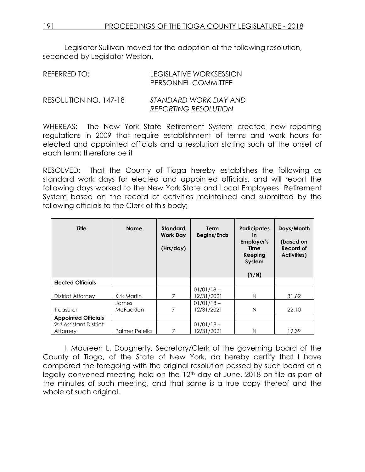Legislator Sullivan moved for the adoption of the following resolution, seconded by Legislator Weston.

| REFERRED TO:          | LEGISLATIVE WORKSESSION<br>PERSONNEL COMMITTEE |
|-----------------------|------------------------------------------------|
| RESOLUTION NO. 147-18 | STANDARD WORK DAY AND                          |

*REPORTING RESOLUTION* WHEREAS: The New York State Retirement System created new reporting

regulations in 2009 that require establishment of terms and work hours for elected and appointed officials and a resolution stating such at the onset of each term; therefore be it

RESOLVED: That the County of Tioga hereby establishes the following as standard work days for elected and appointed officials, and will report the following days worked to the New York State and Local Employees' Retirement System based on the record of activities maintained and submitted by the following officials to the Clerk of this body;

| <b>Title</b>                                   | <b>Name</b>              | <b>Standard</b><br><b>Work Day</b><br>(Hrs/day) | <b>Term</b><br><b>Begins/Ends</b> | <b>Participates</b><br><u>in</u><br>Employer's<br>Time<br>Keeping<br>System<br>(Y/N) | Days/Month<br>(based on<br>Record of<br><b>Activities</b> ) |
|------------------------------------------------|--------------------------|-------------------------------------------------|-----------------------------------|--------------------------------------------------------------------------------------|-------------------------------------------------------------|
| <b>Elected Officials</b>                       |                          |                                                 |                                   |                                                                                      |                                                             |
| District Attorney                              | Kirk Martin              | 7                                               | $01/01/18 -$<br>12/31/2021        | N                                                                                    | 31.62                                                       |
| Treasurer                                      | James<br><b>McFadden</b> | 7                                               | $01/01/18 -$<br>12/31/2021        | N                                                                                    | 22.10                                                       |
| <b>Appointed Officials</b>                     |                          |                                                 |                                   |                                                                                      |                                                             |
| 2 <sup>nd</sup> Assistant District<br>Attorney | Palmer Pelella           | 7                                               | $01/01/18 -$<br>12/31/2021        | N                                                                                    | 19.39                                                       |

I, Maureen L. Dougherty, Secretary/Clerk of the governing board of the County of Tioga, of the State of New York, do hereby certify that I have compared the foregoing with the original resolution passed by such board at a legally convened meeting held on the 12th day of June, 2018 on file as part of the minutes of such meeting, and that same is a true copy thereof and the whole of such original.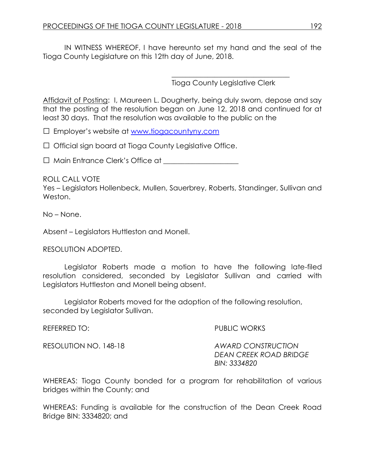IN WITNESS WHEREOF, I have hereunto set my hand and the seal of the Tioga County Legislature on this 12th day of June, 2018.

Tioga County Legislative Clerk

\_\_\_\_\_\_\_\_\_\_\_\_\_\_\_\_\_\_\_\_\_\_\_\_\_\_\_\_\_\_\_\_\_

Affidavit of Posting: I, Maureen L. Dougherty, being duly sworn, depose and say that the posting of the resolution began on June 12, 2018 and continued for at least 30 days. That the resolution was available to the public on the

□ Employer's website at [www.tiogacountyny.com](http://www.tiogacountyny.com/)

□ Official sign board at Tioga County Legislative Office.

□ Main Entrance Clerk's Office at <u>Denote Anderson</u>

ROLL CALL VOTE

Yes – Legislators Hollenbeck, Mullen, Sauerbrey, Roberts, Standinger, Sullivan and Weston.

No – None.

Absent – Legislators Huttleston and Monell.

RESOLUTION ADOPTED.

Legislator Roberts made a motion to have the following late-filed resolution considered, seconded by Legislator Sullivan and carried with Legislators Huttleston and Monell being absent.

Legislator Roberts moved for the adoption of the following resolution, seconded by Legislator Sullivan.

REFERRED TO: The public works and the public works and the public works and the public works and the public works and the public works and the public works and the public works and the public works and the public works and RESOLUTION NO. 148-18 *AWARD CONSTRUCTION DEAN CREEK ROAD BRIDGE BIN: 3334820* 

WHEREAS: Tioga County bonded for a program for rehabilitation of various bridges within the County; and

WHEREAS: Funding is available for the construction of the Dean Creek Road Bridge BIN: 3334820; and